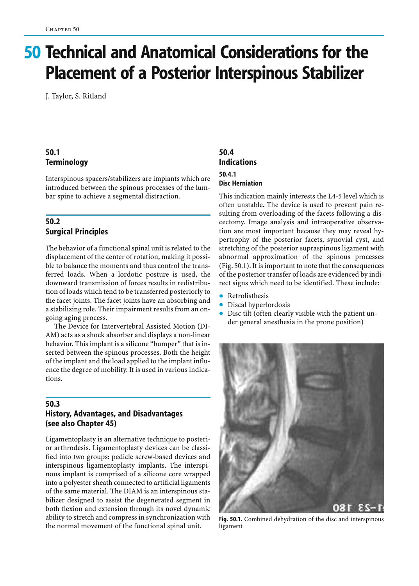# **50 Technical and Anatomical Considerations for the Placement of a Posterior Interspinous Stabilizer**

J. Taylor, S. Ritland

# **50.1 Terminology**

Interspinous spacers/stabilizers are implants which are introduced between the spinous processes of the lumbar spine to achieve a segmental distraction.

# **50.2 Surgical Principles**

The behavior of a functional spinal unit is related to the displacement of the center of rotation, making it possible to balance the moments and thus control the transferred loads. When a lordotic posture is used, the downward transmission of forces results in redistribution of loads which tend to be transferred posteriorly to the facet joints. The facet joints have an absorbing and a stabilizing role. Their impairment results from an ongoing aging process.

The Device for Intervertebral Assisted Motion (DI-AM) acts as a shock absorber and displays a non-linear behavior. This implant is a silicone "bumper" that is inserted between the spinous processes. Both the height of the implant and the load applied to the implant influence the degree of mobility. It is used in various indications.

# **50.3 History, Advantages, and Disadvantages (see also Chapter 45)**

Ligamentoplasty is an alternative technique to posterior arthrodesis. Ligamentoplasty devices can be classified into two groups: pedicle screw-based devices and interspinous ligamentoplasty implants. The interspinous implant is comprised of a silicone core wrapped into a polyester sheath connected to artificial ligaments of the same material. The DIAM is an interspinous stabilizer designed to assist the degenerated segment in both flexion and extension through its novel dynamic ability to stretch and compress in synchronization with the normal movement of the functional spinal unit.

# **50.4 Indications 50.4.1 Disc Herniation**

This indication mainly interests the L4-5 level which is often unstable. The device is used to prevent pain resulting from overloading of the facets following a discectomy. Image analysis and intraoperative observation are most important because they may reveal hypertrophy of the posterior facets, synovial cyst, and stretching of the posterior supraspinous ligament with abnormal approximation of the spinous processes (Fig. 50.1). It is important to note that the consequences of the posterior transfer of loads are evidenced by indirect signs which need to be identified. These include:

- **•** Retrolisthesis
- Discal hyperlordosis
- $\bullet$ Disc tilt (often clearly visible with the patient under general anesthesia in the prone position)



**Fig. 50.1.** Combined dehydration of the disc and interspinous ligament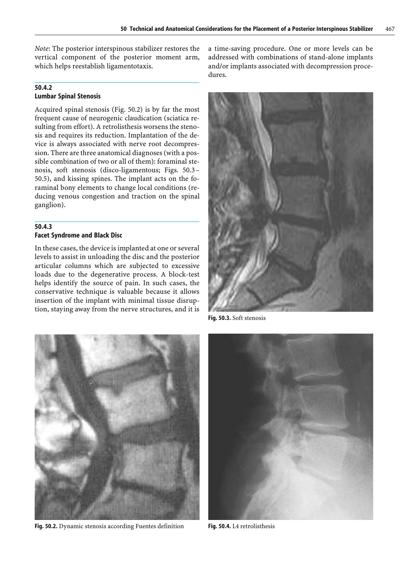*Note*: The posterior interspinous stabilizer restores the vertical component of the posterior moment arm, which helps reestablish ligamentotaxis.

#### **50.4.2 Lumbar Spinal Stenosis**

Acquired spinal stenosis (Fig. 50.2) is by far the most frequent cause of neurogenic claudication (sciatica resulting from effort). A retrolisthesis worsens the stenosis and requires its reduction. Implantation of the device is always associated with nerve root decompression. There are three anatomical diagnoses (with a possible combination of two or all of them): foraminal stenosis, soft stenosis (disco-ligamentous; Figs. 50.3 – 50.5), and kissing spines. The implant acts on the foraminal bony elements to change local conditions (reducing venous congestion and traction on the spinal ganglion).

# **50.4.3 Facet Syndrome and Black Disc**

In these cases, the device is implanted at one or several levels to assist in unloading the disc and the posterior articular columns which are subjected to excessive loads due to the degenerative process. A block-test helps identify the source of pain. In such cases, the conservative technique is valuable because it allows insertion of the implant with minimal tissue disruption, staying away from the nerve structures, and it is

a time-saving procedure. One or more levels can be addressed with combinations of stand-alone implants and/or implants associated with decompression procedures.



**Fig. 50.3.** Soft stenosis



**Fig. 50.2.** Dynamic stenosis according Fuentes definition



**Fig. 50.4.** L4 retrolisthesis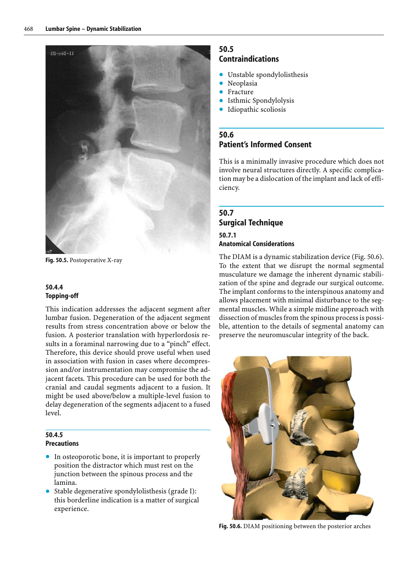

**Fig. 50.5.** Postoperative X-ray

#### **50.4.4 Topping-off**

This indication addresses the adjacent segment after lumbar fusion. Degeneration of the adjacent segment results from stress concentration above or below the fusion. A posterior translation with hyperlordosis results in a foraminal narrowing due to a "pinch" effect. Therefore, this device should prove useful when used in association with fusion in cases where decompression and/or instrumentation may compromise the adjacent facets. This procedure can be used for both the cranial and caudal segments adjacent to a fusion. It might be used above/below a multiple-level fusion to delay degeneration of the segments adjacent to a fused level.

## **50.4.5 Precautions**

- In osteoporotic bone, it is important to properly position the distractor which must rest on the junction between the spinous process and the lamina.
- Stable degenerative spondylolisthesis (grade I): this borderline indication is a matter of surgical experience.

# **50.5 Contraindications**

- Unstable spondylolisthesis
- Neoplasia  $\bullet$
- Fracture
- Isthmic Spondylolysis
- Idiopathic scoliosis

# **50.6 Patient's Informed Consent**

This is a minimally invasive procedure which does not involve neural structures directly. A specific complication may be a dislocation of the implant and lack of efficiency.

# **50.7 Surgical Technique**

#### **50.7.1 Anatomical Considerations**

The DIAM is a dynamic stabilization device (Fig. 50.6). To the extent that we disrupt the normal segmental musculature we damage the inherent dynamic stabilization of the spine and degrade our surgical outcome. The implant conforms to the interspinous anatomy and allows placement with minimal disturbance to the segmental muscles. While a simple midline approach with dissection of muscles from the spinous process is possible, attention to the details of segmental anatomy can preserve the neuromuscular integrity of the back.



**Fig. 50.6.** DIAM positioning between the posterior arches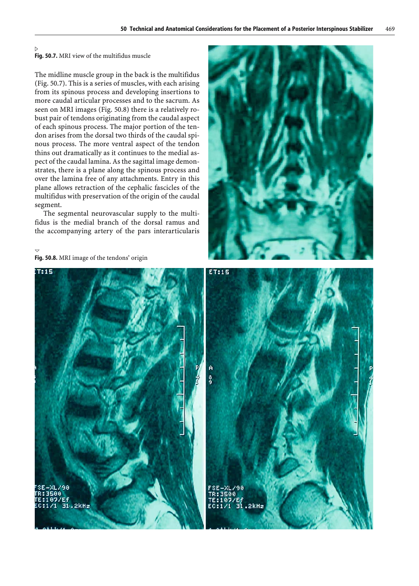# **Fig. 50.7.** MRI view of the multifidus muscle

The midline muscle group in the back is the multifidus (Fig. 50.7). This is a series of muscles, with each arising from its spinous process and developing insertions to more caudal articular processes and to the sacrum. As seen on MRI images (Fig. 50.8) there is a relatively robust pair of tendons originating from the caudal aspect of each spinous process. The major portion of the tendon arises from the dorsal two thirds of the caudal spinous process. The more ventral aspect of the tendon thins out dramatically as it continues to the medial aspect of the caudal lamina. As the sagittal image demonstrates, there is a plane along the spinous process and over the lamina free of any attachments. Entry in this plane allows retraction of the cephalic fascicles of the multifidus with preservation of the origin of the caudal segment.

The segmental neurovascular supply to the multifidus is the medial branch of the dorsal ramus and the accompanying artery of the pars interarticularis





**Fig. 50.8.** MRI image of the tendons' origin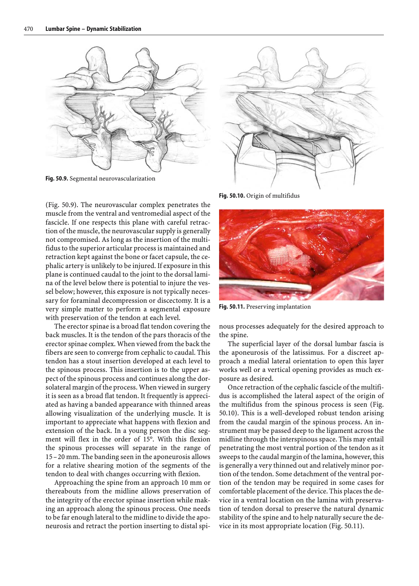

**Fig. 50.9.** Segmental neurovascularization

(Fig. 50.9). The neurovascular complex penetrates the muscle from the ventral and ventromedial aspect of the fascicle. If one respects this plane with careful retraction of the muscle, the neurovascular supply is generally not compromised. As long as the insertion of the multifidus to the superior articular process is maintained and retraction kept against the bone or facet capsule, the cephalic artery is unlikely to be injured. If exposure in this plane is continued caudal to the joint to the dorsal lamina of the level below there is potential to injure the vessel below; however, this exposure is not typically necessary for foraminal decompression or discectomy. It is a very simple matter to perform a segmental exposure with preservation of the tendon at each level.

The erector spinae is a broad flat tendon covering the back muscles. It is the tendon of the pars thoracis of the erector spinae complex. When viewed from the back the fibers are seen to converge from cephalic to caudal. This tendon has a stout insertion developed at each level to the spinous process. This insertion is to the upper aspect of the spinous process and continues along the dorsolateral margin of the process. When viewed in surgery it is seen as a broad flat tendon. It frequently is appreciated as having a banded appearance with thinned areas allowing visualization of the underlying muscle. It is important to appreciate what happens with flexion and extension of the back. In a young person the disc segment will flex in the order of 15°. With this flexion the spinous processes will separate in the range of 15 –20 mm. The banding seen in the aponeurosis allows for a relative shearing motion of the segments of the tendon to deal with changes occurring with flexion.

Approaching the spine from an approach 10 mm or thereabouts from the midline allows preservation of the integrity of the erector spinae insertion while making an approach along the spinous process. One needs to be far enough lateral to the midline to divide the aponeurosis and retract the portion inserting to distal spi-



**Fig. 50.10.** Origin of multifidus



**Fig. 50.11.** Preserving implantation

nous processes adequately for the desired approach to the spine.

The superficial layer of the dorsal lumbar fascia is the aponeurosis of the latissimus. For a discreet approach a medial lateral orientation to open this layer works well or a vertical opening provides as much exposure as desired.

Once retraction of the cephalic fascicle of the multifidus is accomplished the lateral aspect of the origin of the multifidus from the spinous process is seen (Fig. 50.10). This is a well-developed robust tendon arising from the caudal margin of the spinous process. An instrument may be passed deep to the ligament across the midline through the interspinous space. This may entail penetrating the most ventral portion of the tendon as it sweeps to the caudal margin of the lamina, however, this is generally a very thinned out and relatively minor portion of the tendon. Some detachment of the ventral portion of the tendon may be required in some cases for comfortable placement of the device. This places the device in a ventral location on the lamina with preservation of tendon dorsal to preserve the natural dynamic stability of the spine and to help naturally secure the device in its most appropriate location (Fig. 50.11).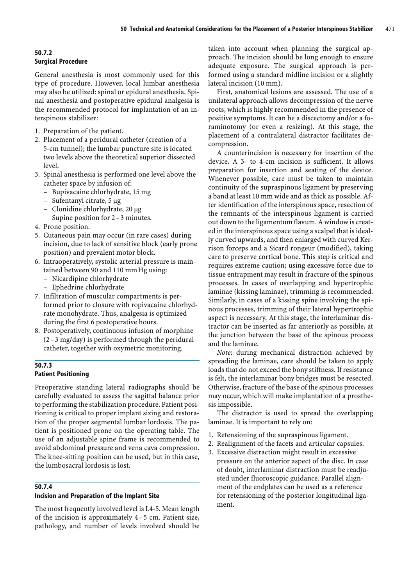# **50.7.2**

## **Surgical Procedure**

General anesthesia is most commonly used for this type of procedure. However, local lumbar anesthesia may also be utilized: spinal or epidural anesthesia. Spinal anesthesia and postoperative epidural analgesia is the recommended protocol for implantation of an interspinous stabilizer:

- 1. Preparation of the patient.
- 2. Placement of a peridural catheter (creation of a 5-cm tunnel); the lumbar puncture site is located two levels above the theoretical superior dissected level.
- 3. Spinal anesthesia is performed one level above the catheter space by infusion of:
	- Bupivacaine chlorhydrate, 15 mg
	- Sufentanyl citrate, 5 µg
	- Clonidine chlorhydrate, 20 µg
	- Supine position for 2 –3 minutes.
- 4. Prone position.
- 5. Cutaneous pain may occur (in rare cases) during incision, due to lack of sensitive block (early prone position) and prevalent motor block.
- 6. Intraoperatively, systolic arterial pressure is maintained between 90 and 110 mmHg using:
	- Nicardipine chlorhydrate
	- Ephedrine chlorhydrate
- 7. Infiltration of muscular compartments is performed prior to closure with ropivacaine chlorhydrate monohydrate. Thus, analgesia is optimized during the first 6 postoperative hours.
- 8. Postoperatively, continuous infusion of morphine (2 –3 mg/day) is performed through the peridural catheter, together with oxymetric monitoring.

#### **50.7.3 Patient Positioning**

Preoperative standing lateral radiographs should be carefully evaluated to assess the sagittal balance prior to performing the stabilization procedure. Patient positioning is critical to proper implant sizing and restoration of the proper segmental lumbar lordosis. The patient is positioned prone on the operating table. The use of an adjustable spine frame is recommended to avoid abdominal pressure and vena cava compression. The knee-sitting position can be used, but in this case, the lumbosacral lordosis is lost.

#### **50.7.4**

#### **Incision and Preparation of the Implant Site**

The most frequently involved level is L4-5. Mean length of the incision is approximately 4 –5 cm. Patient size, pathology, and number of levels involved should be

taken into account when planning the surgical approach. The incision should be long enough to ensure adequate exposure. The surgical approach is performed using a standard midline incision or a slightly lateral incision (10 mm).

First, anatomical lesions are assessed. The use of a unilateral approach allows decompression of the nerve roots, which is highly recommended in the presence of positive symptoms. It can be a discectomy and/or a foraminotomy (or even a resizing). At this stage, the placement of a contralateral distractor facilitates decompression.

A counterincision is necessary for insertion of the device. A 3- to 4-cm incision is sufficient. It allows preparation for insertion and seating of the device. Whenever possible, care must be taken to maintain continuity of the supraspinous ligament by preserving a band at least 10 mm wide and as thick as possible. After identification of the interspinous space, resection of the remnants of the interspinous ligament is carried out down to the ligamentum flavum. A window is created in the interspinous space using a scalpel that is ideally curved upwards, and then enlarged with curved Kerrison forceps and a Sicard rongeur (modified), taking care to preserve cortical bone. This step is critical and requires extreme caution; using excessive force due to tissue entrapment may result in fracture of the spinous processes. In cases of overlapping and hypertrophic laminae (kissing laminae), trimming is recommended. Similarly, in cases of a kissing spine involving the spinous processes, trimming of their lateral hypertrophic aspect is necessary. At this stage, the interlaminar distractor can be inserted as far anteriorly as possible, at the junction between the base of the spinous process and the laminae.

*Note*: during mechanical distraction achieved by spreading the laminae, care should be taken to apply loads that do not exceed the bony stiffness. If resistance is felt, the interlaminar bony bridges must be resected. Otherwise, fracture of the base of the spinous processes may occur, which will make implantation of a prosthesis impossible.

The distractor is used to spread the overlapping laminae. It is important to rely on:

- 1. Retensioning of the supraspinous ligament.
- 2. Realignment of the facets and articular capsules.
- 3. Excessive distraction might result in excessive pressure on the anterior aspect of the disc. In case of doubt, interlaminar distraction must be readjusted under fluoroscopic guidance. Parallel alignment of the endplates can be used as a reference for retensioning of the posterior longitudinal ligament.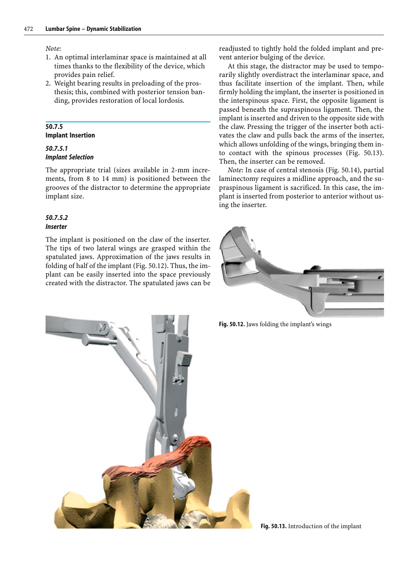#### *Note*:

- 1. An optimal interlaminar space is maintained at all times thanks to the flexibility of the device, which provides pain relief.
- 2. Weight bearing results in preloading of the prosthesis; this, combined with posterior tension banding, provides restoration of local lordosis.

## **50.7.5 Implant Insertion**

#### *50.7.5.1 Implant Selection*

The appropriate trial (sizes available in 2-mm increments, from 8 to 14 mm) is positioned between the grooves of the distractor to determine the appropriate implant size.

#### *50.7.5.2 Inserter*

The implant is positioned on the claw of the inserter. The tips of two lateral wings are grasped within the spatulated jaws. Approximation of the jaws results in folding of half of the implant (Fig. 50.12). Thus, the implant can be easily inserted into the space previously created with the distractor. The spatulated jaws can be

readjusted to tightly hold the folded implant and prevent anterior bulging of the device.

At this stage, the distractor may be used to temporarily slightly overdistract the interlaminar space, and thus facilitate insertion of the implant. Then, while firmly holding the implant, the inserter is positioned in the interspinous space. First, the opposite ligament is passed beneath the supraspinous ligament. Then, the implant is inserted and driven to the opposite side with the claw. Pressing the trigger of the inserter both activates the claw and pulls back the arms of the inserter, which allows unfolding of the wings, bringing them into contact with the spinous processes (Fig. 50.13). Then, the inserter can be removed.

*Note*: In case of central stenosis (Fig. 50.14), partial laminectomy requires a midline approach, and the supraspinous ligament is sacrificed. In this case, the implant is inserted from posterior to anterior without using the inserter.



**Fig. 50.12.** Jaws folding the implant's wings



**Fig. 50.13.** Introduction of the implant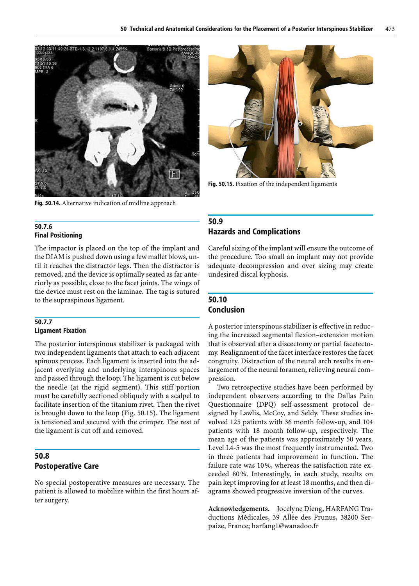

**Fig. 50.14.** Alternative indication of midline approach

## **50.7.6 Final Positioning**

The impactor is placed on the top of the implant and the DIAM is pushed down using a few mallet blows, until it reaches the distractor legs. Then the distractor is removed, and the device is optimally seated as far anteriorly as possible, close to the facet joints. The wings of the device must rest on the laminae. The tag is sutured to the supraspinous ligament.

## **50.7.7 Ligament Fixation**

The posterior interspinous stabilizer is packaged with two independent ligaments that attach to each adjacent spinous process. Each ligament is inserted into the adjacent overlying and underlying interspinous spaces and passed through the loop. The ligament is cut below the needle (at the rigid segment). This stiff portion must be carefully sectioned obliquely with a scalpel to facilitate insertion of the titanium rivet. Then the rivet is brought down to the loop (Fig. 50.15). The ligament is tensioned and secured with the crimper. The rest of the ligament is cut off and removed.

# **50.8 Postoperative Care**

No special postoperative measures are necessary. The patient is allowed to mobilize within the first hours after surgery.



**Fig. 50.15.** Fixation of the independent ligaments

# **50.9 Hazards and Complications**

Careful sizing of the implant will ensure the outcome of the procedure. Too small an implant may not provide adequate decompression and over sizing may create undesired discal kyphosis.

# **50.10 Conclusion**

A posterior interspinous stabilizer is effective in reducing the increased segmental flexion–extension motion that is observed after a discectomy or partial facetectomy. Realignment of the facet interface restores the facet congruity. Distraction of the neural arch results in enlargement of the neural foramen, relieving neural compression.

Two retrospective studies have been performed by independent observers according to the Dallas Pain Questionnaire (DPQ) self-assessment protocol designed by Lawlis, McCoy, and Seldy. These studies involved 125 patients with 36 month follow-up, and 104 patients with 18 month follow-up, respectively. The mean age of the patients was approximately 50 years. Level L4-5 was the most frequently instrumented. Two in three patients had improvement in function. The failure rate was 10%, whereas the satisfaction rate exceeded 80%. Interestingly, in each study, results on pain kept improving for at least 18 months, and then diagrams showed progressive inversion of the curves.

**Acknowledgements.** Jocelyne Dieng, HARFANG Traductions Médicales, 39 Allée des Prunus, 38200 Serpaize, France; harfang1@wanadoo.fr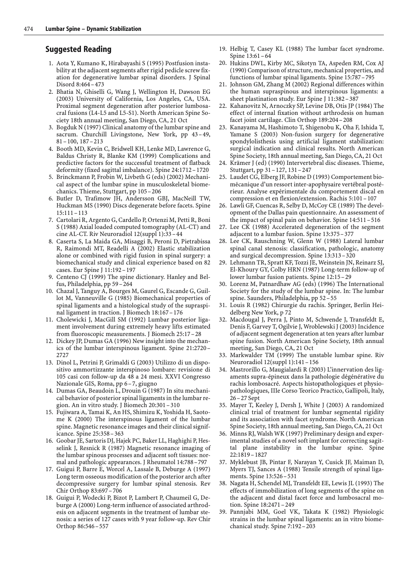## **Suggested Reading**

- 1. Aota Y, Kumano K, Hirabayashi S (1995) Postfusion instability at the adjacent segments after rigid pedicle screw fixation for degenerative lumbar spinal disorders. J Spinal Disord 8:464 –473
- 2. Bhatia N, Ghiselli G, Wang J, Wellington H, Dawson EG (2003) University of California, Los Angeles, CA, USA. Proximal segment degeneration after posterior lumbosacral fusions (L4-L5 and L5-S1). North American Spine Society 18th annual meeting, San Diego, CA, 21 Oct
- 3. Bogduk N (1997) Clinical anatomy of the lumbar spine and sacrum. Churchill Livingstone, New York, pp 43-49, 81 –100, 187 –213
- 4. Booth MD, Kevin C, Bridwell KH, Lenke MD, Lawrence G, Baldus Christy R, Blanke KM (1999) Complications and predictive factors for the successful treatment of flatback deformity (fixed sagittal imbalance). Spine 24:1712 –1720
- 5. Brinckmann P, Frobin W, Livbeth G (eds) (2002) Mechanical aspect of the lumbar spine in musculoskeletal biomechanics. Thieme, Stuttgart, pp 105 –206
- 6. Butler D, Trafimow JH, Andersson GBJ, MacNeill TW, Huckman MS (1990) Discs degenerate before facets. Spine 15:111 –113
- 7. Cartolari R, Argento G, Cardello P, Ortenzi M, Petti R, Boni S (1988) Axial loaded computed tomography (AL-CT) and cine AL-CT. Riv Neuroradiol 12(suppl 1):33 –44
- 8. Caserta S, La Maida GA, Misaggi B, Peroni D, Pietrabissa R, Raimondi MT, Readelli A (2002) Elastic stabilization alone or combined with rigid fusion in spinal surgery: a biomechanical study and clinical experience based on 82 cases. Eur Spine J 11:192 –197
- 9. Centeno CJ (1999) The spine dictionary. Hanley and Belfus, Philadelphia, pp 59 –264
- 10. Chazal J, Tanguy A, Bourges M, Gaurel G, Escande G, Guillot M, Vanneuville G (1985) Biomechanical properties of spinal ligaments and a histological study of the supraspinal ligament in traction. J Biomech 18:167 –176
- 11. Cholewicki J, MacGill SM (1992) Lumbar posterior ligament involvement during extremely heavy lifts estimated from fluoroscopic measurements. J Biomech 25:17 –28
- 12. Dickey JP, Dumas GA (1996) New insight into the mechanics of the lumbar interspinous ligament. Spine 21:2720 – 2727
- 13. Dinol L, Petrini P, Grimaldi G (2003) Utilizzo di un dispositivo ammortizzante interspinoso lombare: revisione di 105 casi con follow-up da 48 a 24 mesi. XXVI Congresso Nazionale GIS, Roma, pp 6-7, giugno
- 14. Dumas GA, Beaudoin L, Drouin G (1987) In situ mechanical behavior of posterior spinal ligaments in the lumbar region. An in vitro study. J Biomech 20:301 –310
- 15. Fujiwara A, Tamai K, An HS, Shimizu K, Yoshida H, Saotome K (2000) The interspinous ligament of the lumbar spine. Magnetic resonance images and their clinical significance. Spine 25:358 –363
- 16. Goobar JE, Sartoris DJ, Hajek PC, Baker LL, Haghighi P, Hesselink J, Resnick R (1987) Magnetic resonance imaging of the lumbar spinous processes and adjacent soft tissues: normal and pathologic appearances. J Rheumatol 14:788 –797
- 17. Guigui P, Barre E, Worcel A, Lassale B, Deburge A (1997) Long term osseous modification of the posterior arch after decompressive surgery for lumbar spinal stenosis. Rev Chir Orthop 83:697 –706
- 18. Guigui P, Wodecki P, Bizot P, Lambert P, Chaumeil G, Deburge A (2000) Long-term influence of associated arthrodesis on adjacent segments in the treatment of lumbar stenosis: a series of 127 cases with 9 year follow-up. Rev Chir Orthop 86:546 –557
- 19. Helbig T, Casey KL (1988) The lumbar facet syndrome. Spine 13:61 –64
- 20. Hukins DWL, Kirby MC, Sikotyn TA, Aspeden RM, Cox AJ (1990) Comparison of structure, mechanical properties, and functions of lumbar spinal ligaments. Spine 15:787 –795
- 21. Johnson GM, Zhang M (2002) Regional differences within the human supraspinous and interspinous ligaments: a sheet plastination study. Eur Spine J 11:382 –387
- 22. Kahanovitz N, Arnoczky SP, Levine DB, Otis JP (1984) The effect of internal fixation without arthrodesis on human facet joint cartilage. Clin Orthop 189:204 –208
- 23. Kanayama M, Hashimoto T, Shigenobu K, Oha F, Ishida T, Yamane S (2003) Non-fusion surgery for degenerative spondylolisthesis using artificial ligament stabilization: surgical indication and clinical results. North American Spine Society, 18th annual meeting, San Diego, CA, 21 Oct
- 24. Krämer J (ed) (1990) Intervertebral disc diseases. Thieme, Stuttgart, pp 31 –127, 131 –247
- 25. Laudet CG, Elberg JF, Robine D (1993) Comportement biomécanique d'un ressort inter-apophysaire vertébral postérieur. Analyse expérimentale du comportement discal en compression et en flexion/extension. Rachis 5:101 –107
- 26. Lawli GF, Cuencas R, Selby D, McCoy CE (1989) The development of the Dallas pain questionnaire. An assessment of the impact of spinal pain on behavior. Spine 14:511 –516
- 27. Lee CK (1988) Accelerated degeneration of the segment adjacent to a lumbar fusion. Spine 13:375 –377
- 28. Lee CK, Rauschning W, Glenn W (1988) Lateral lumbar spinal canal stenosis: classification, pathologic, anatomy and surgical decompression. Spine 13:313 –320
- 29. Lehmann TR, Spratt KF, Tozzi JE, Weinstein JN, Reinarz SJ, El-Khoury GY, Colby HRN (1987) Long-term follow-up of lower lumbar fusion patients. Spine 12:15 –29
- 30. Lorenz M, Patnardhaw AG (eds) (1996) The International Society for the study of the lumbar spine. In: The lumbar spine. Saunders, Philadelphia, pp 52 –55
- 31. Louis R (1982) Chirurgie du rachis. Springer, Berlin Heidelberg New York, p 72
- 32. Macdougal J, Perra J, Pinto M, Schwende J, Transfeldt E, Denis F, Garvey T, Ogilvie J, Wroblewski J (2003) Incidence of adjacent segment degeneration at ten years after lumbar spine fusion. North American Spine Society, 18th annual meeting, San Diego, CA, 21 Oct
- 33. Markwalder TM (1999) The unstable lumbar spine. Riv Neuroradiol 12(suppl 1):141 –156
- 34. Mastrorillo G, Maugialardi R (2003) L'innervation des ligaments supra-épineux dans la pathologie dégénérative du rachis lombosacré. Aspects histopathologiques et physiopathologiques, IIIe Corso Teorico Practico, Gallipoli, Italy, 26 –27 Sept
- 35. Mayer T, Keeley J, Dersh J, White J (2003) A randomized clinical trial of treatment for lumbar segmental rigidity and its association with facet syndrome. North American Spine Society, 18th annual meeting, San Diego, CA, 21 Oct
- 36. Minns RJ, Walsh WK (1997) Preliminary design and experimental studies of a novel soft implant for correcting sagittal plane instability in the lumbar spine. Spine 22:1819 –1827
- 37. Myklebust JB, Pintar F, Narayan Y, Cusick JF, Maiman D, Myers TJ, Sances A (1988) Tensile strength of spinal ligaments. Spine 13:526 –531
- 38. Nagata H, Schendel MJ, Transfeldt EE, Lewis JL (1993) The effects of immobilization of long segments of the spine on the adjacent and distal facet force and lumbosacral motion. Spine 18:2471 –249
- 39. Pannjabi MM, Goel VK, Takata K (1982) Physiologic strains in the lumbar spinal ligaments: an in vitro biomechanical study. Spine 7:192 –203